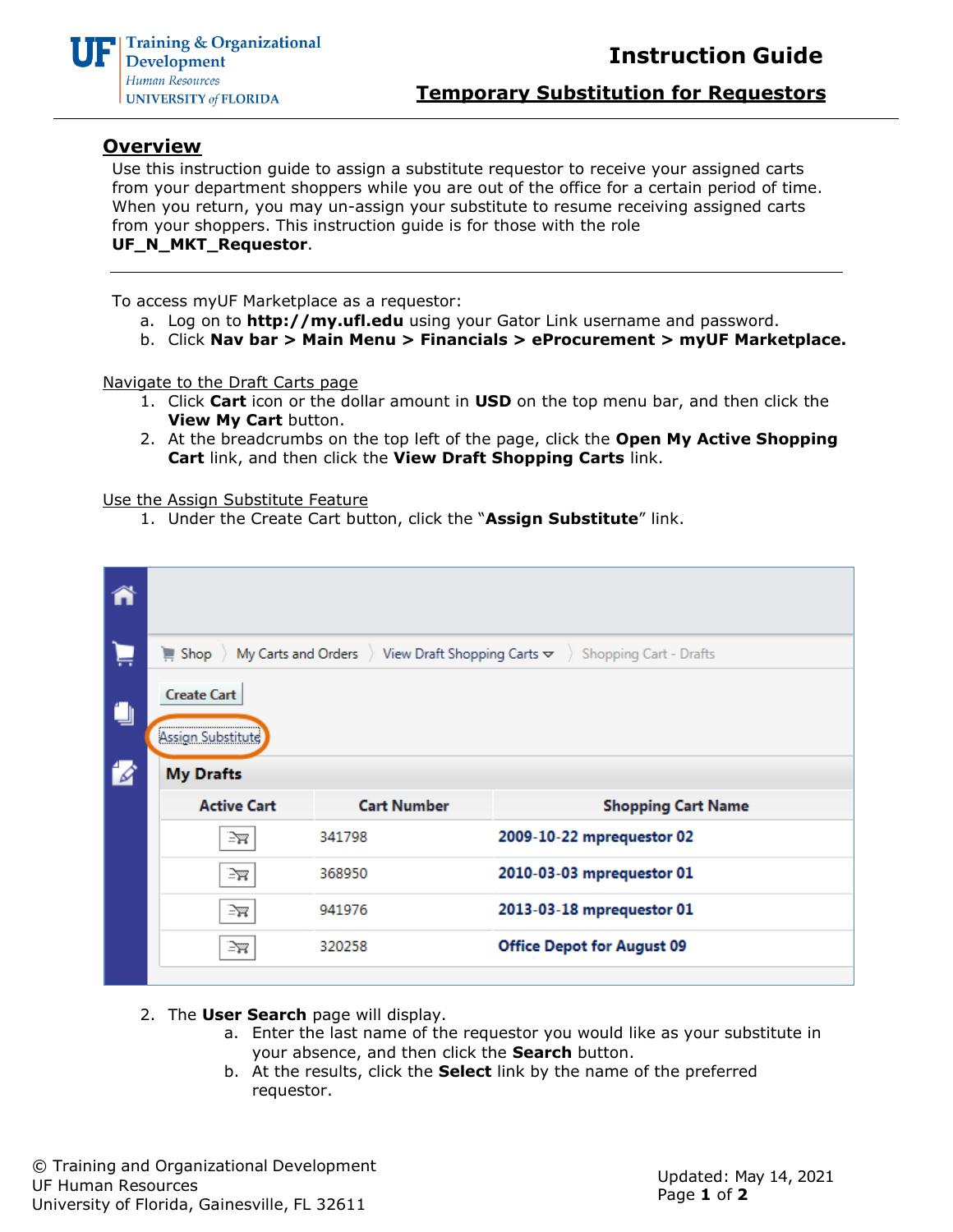

**Temporary Substitution for Requestors**

## **Overview**

Use this instruction guide to assign a substitute requestor to receive your assigned carts from your department shoppers while you are out of the office for a certain period of time. When you return, you may un-assign your substitute to resume receiving assigned carts from your shoppers. This instruction guide is for those with the role **UF\_N\_MKT\_Requestor**.

To access myUF Marketplace as a requestor:

- a. Log on to **[http://my.ufl.edu](http://my.ufl.edu/)** using your Gator Link username and password.
- b. Click **Nav bar > Main Menu > Financials > eProcurement > myUF Marketplace.**

Navigate to the Draft Carts page

- 1. Click **Cart** icon or the dollar amount in **USD** on the top menu bar, and then click the **View My Cart** button.
- 2. At the breadcrumbs on the top left of the page, click the **Open My Active Shopping Cart** link, and then click the **View Draft Shopping Carts** link.

Use the Assign Substitute Feature

1. Under the Create Cart button, click the "**Assign Substitute**" link.

|     | My Carts and Orders $\rightarrow$ View Draft Shopping Carts $\rightarrow$<br><b>Shopping Cart - Drafts</b><br>$\equiv$ Shop |                    |                                   |  |  |  |  |  |  |  |
|-----|-----------------------------------------------------------------------------------------------------------------------------|--------------------|-----------------------------------|--|--|--|--|--|--|--|
| ن ا | <b>Create Cart</b><br>Assign Substitute                                                                                     |                    |                                   |  |  |  |  |  |  |  |
| 14  | <b>My Drafts</b>                                                                                                            |                    |                                   |  |  |  |  |  |  |  |
|     | <b>Active Cart</b>                                                                                                          | <b>Cart Number</b> | <b>Shopping Cart Name</b>         |  |  |  |  |  |  |  |
|     | ≧ਲ                                                                                                                          | 341798             | 2009-10-22 mprequestor 02         |  |  |  |  |  |  |  |
|     | ⊇ਜ                                                                                                                          | 368950             | 2010-03-03 mprequestor 01         |  |  |  |  |  |  |  |
|     | ≧ਜ                                                                                                                          | 941976             | 2013-03-18 mprequestor 01         |  |  |  |  |  |  |  |
|     | 320258<br>≧ਙ                                                                                                                |                    | <b>Office Depot for August 09</b> |  |  |  |  |  |  |  |
|     |                                                                                                                             |                    |                                   |  |  |  |  |  |  |  |

- 2. The **User Search** page will display.
	- a. Enter the last name of the requestor you would like as your substitute in your absence, and then click the **Search** button.
	- b. At the results, click the **Select** link by the name of the preferred requestor.

© Training and Organizational Development UF Human Resources University of Florida, Gainesville, FL 32611